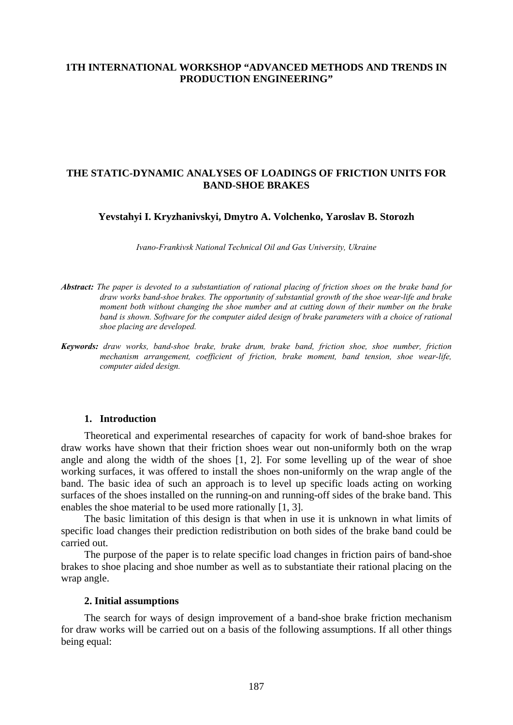# **1TH INTERNATIONAL WORKSHOP "ADVANCED METHODS AND TRENDS IN PRODUCTION ENGINEERING"**

## **THE STATIC-DYNAMIC ANALYSES OF LOADINGS OF FRICTION UNITS FOR BAND-SHOE BRAKES**

**Yevstahyi I. Kryzhanivskyi, Dmytro A. Volchenko, Yaroslav B. Storozh** 

*Ivano-Frankivsk National Technical Oil and Gas University, Ukraine* 

- *Abstract: The paper is devoted to a substantiation of rational placing of friction shoes on the brake band for draw works band-shoe brakes. The opportunity of substantial growth of the shoe wear-life and brake moment both without changing the shoe number and at cutting down of their number on the brake band is shown. Software for the computer aided design of brake parameters with a choice of rational shoe placing are developed.*
- *Keywords: draw works, band-shoe brake, brake drum, brake band, friction shoe, shoe number, friction mechanism arrangement, coefficient of friction, brake moment, band tension, shoe wear-life, computer aided design.*

### **1. Introduction**

Theoretical and experimental researches of capacity for work of band-shoe brakes for draw works have shown that their friction shoes wear out non-uniformly both on the wrap angle and along the width of the shoes [1, 2]. For some levelling up of the wear of shoe working surfaces, it was offered to install the shoes non-uniformly on the wrap angle of the band. The basic idea of such an approach is to level up specific loads acting on working surfaces of the shoes installed on the running-on and running-off sides of the brake band. This enables the shoe material to be used more rationally [1, 3].

The basic limitation of this design is that when in use it is unknown in what limits of specific load changes their prediction redistribution on both sides of the brake band could be carried out.

The purpose of the paper is to relate specific load changes in friction pairs of band-shoe brakes to shoe placing and shoe number as well as to substantiate their rational placing on the wrap angle.

### **2. Initial assumptions**

The search for ways of design improvement of a band-shoe brake friction mechanism for draw works will be carried out on a basis of the following assumptions. If all other things being equal: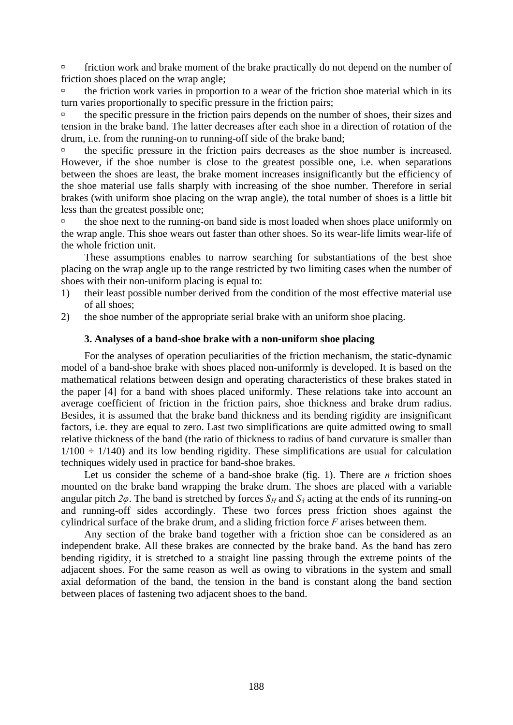$\overline{a}$  friction work and brake moment of the brake practically do not depend on the number of friction shoes placed on the wrap angle;

à the friction work varies in proportion to a wear of the friction shoe material which in its turn varies proportionally to specific pressure in the friction pairs;

à the specific pressure in the friction pairs depends on the number of shoes, their sizes and tension in the brake band. The latter decreases after each shoe in a direction of rotation of the drum, i.e. from the running-on to running-off side of the brake band;

à the specific pressure in the friction pairs decreases as the shoe number is increased. However, if the shoe number is close to the greatest possible one, i.e. when separations between the shoes are least, the brake moment increases insignificantly but the efficiency of the shoe material use falls sharply with increasing of the shoe number. Therefore in serial brakes (with uniform shoe placing on the wrap angle), the total number of shoes is a little bit less than the greatest possible one;

à the shoe next to the running-on band side is most loaded when shoes place uniformly on the wrap angle. This shoe wears out faster than other shoes. So its wear-life limits wear-life of the whole friction unit.

These assumptions enables to narrow searching for substantiations of the best shoe placing on the wrap angle up to the range restricted by two limiting cases when the number of shoes with their non-uniform placing is equal to:

- 1) their least possible number derived from the condition of the most effective material use of all shoes;
- 2) the shoe number of the appropriate serial brake with an uniform shoe placing.

### **3. Analyses of a band-shoe brake with a non-uniform shoe placing**

For the analyses of operation peculiarities of the friction mechanism, the static-dynamic model of a band-shoe brake with shoes placed non-uniformly is developed. It is based on the mathematical relations between design and operating characteristics of these brakes stated in the paper [4] for a band with shoes placed uniformly. These relations take into account an average coefficient of friction in the friction pairs, shoe thickness and brake drum radius. Besides, it is assumed that the brake band thickness and its bending rigidity are insignificant factors, i.e. they are equal to zero. Last two simplifications are quite admitted owing to small relative thickness of the band (the ratio of thickness to radius of band curvature is smaller than  $1/100 \div 1/140$ ) and its low bending rigidity. These simplifications are usual for calculation techniques widely used in practice for band-shoe brakes.

Let us consider the scheme of a band-shoe brake (fig. 1). There are *n* friction shoes mounted on the brake band wrapping the brake drum. The shoes are placed with a variable angular pitch  $2\varphi$ . The band is stretched by forces  $S_H$  and  $S_3$  acting at the ends of its running-on and running-off sides accordingly. These two forces press friction shoes against the cylindrical surface of the brake drum, and a sliding friction force *F* arises between them.

Any section of the brake band together with a friction shoe can be considered as an independent brake. All these brakes are connected by the brake band. As the band has zero bending rigidity, it is stretched to a straight line passing through the extreme points of the adjacent shoes. For the same reason as well as owing to vibrations in the system and small axial deformation of the band, the tension in the band is constant along the band section between places of fastening two adjacent shoes to the band.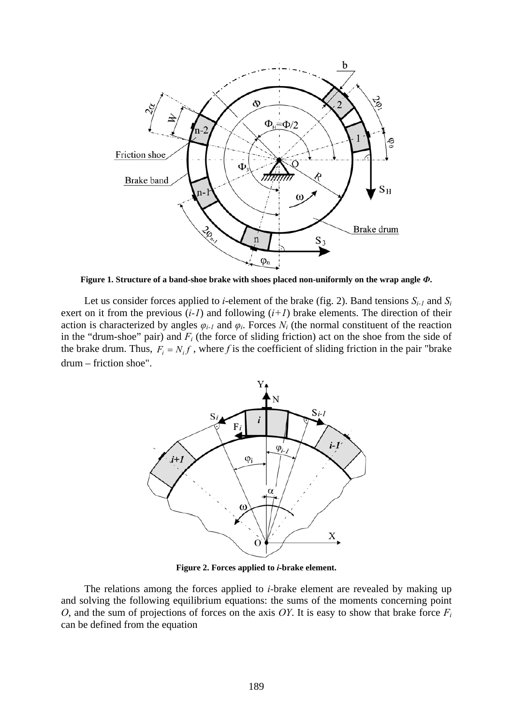

**Figure 1. Structure of a band-shoe brake with shoes placed non-uniformly on the wrap angle** *Ф***.** 

Let us consider forces applied to *i*-element of the brake (fig. 2). Band tensions  $S_{i-1}$  and  $S_i$ exert on it from the previous  $(i-1)$  and following  $(i+1)$  brake elements. The direction of their action is characterized by angles  $\varphi_{i-1}$  and  $\varphi_i$ . Forces  $N_i$  (the normal constituent of the reaction in the "drum-shoe" pair) and *Fi* (the force of sliding friction) act on the shoe from the side of the brake drum. Thus,  $F_i = N_i f$ , where f is the coefficient of sliding friction in the pair "brake" drum – friction shoe".



**Figure 2. Forces applied to** *i-***brake element.** 

The relations among the forces applied to *i-*brake element are revealed by making up and solving the following equilibrium equations: the sums of the moments concerning point *O*, and the sum of projections of forces on the axis *OY*. It is easy to show that brake force  $F_i$ can be defined from the equation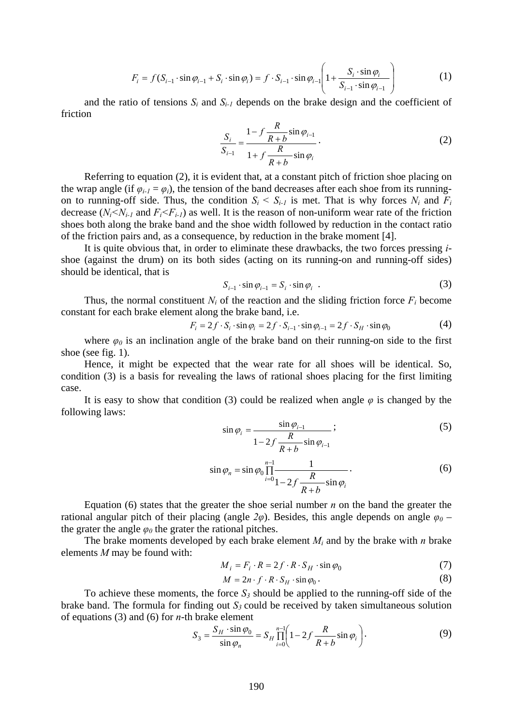$$
F_i = f(S_{i-1} \cdot \sin \varphi_{i-1} + S_i \cdot \sin \varphi_i) = f \cdot S_{i-1} \cdot \sin \varphi_{i-1} \left( 1 + \frac{S_i \cdot \sin \varphi_i}{S_{i-1} \cdot \sin \varphi_{i-1}} \right) \tag{1}
$$

and the ratio of tensions  $S_i$  and  $S_{i-1}$  depends on the brake design and the coefficient of friction

$$
\frac{S_i}{S_{i-1}} = \frac{1 - f \frac{R}{R + b} \sin \varphi_{i-1}}{1 + f \frac{R}{R + b} \sin \varphi_i}.
$$
\n(2)

Referring to equation (2), it is evident that, at a constant pitch of friction shoe placing on the wrap angle (if  $\varphi_{i-1} = \varphi_i$ ), the tension of the band decreases after each shoe from its runningon to running-off side. Thus, the condition  $S_i \leq S_{i-1}$  is met. That is why forces  $N_i$  and  $F_i$ decrease  $(N_i \le N_{i-1}$  and  $F_i \le F_{i-1}$ ) as well. It is the reason of non-uniform wear rate of the friction shoes both along the brake band and the shoe width followed by reduction in the contact ratio of the friction pairs and, as a consequence, by reduction in the brake moment [4].

It is quite obvious that, in order to eliminate these drawbacks, the two forces pressing *i*shoe (against the drum) on its both sides (acting on its running-on and running-off sides) should be identical, that is

$$
S_{i-1} \cdot \sin \varphi_{i-1} = S_i \cdot \sin \varphi_i \tag{3}
$$

Thus, the normal constituent  $N_i$  of the reaction and the sliding friction force  $F_i$  become constant for each brake element along the brake band, i.e.

$$
F_i = 2f \cdot S_i \cdot \sin \varphi_i = 2f \cdot S_{i-1} \cdot \sin \varphi_{i-1} = 2f \cdot S_H \cdot \sin \varphi_0 \tag{4}
$$

where  $\varphi_0$  is an inclination angle of the brake band on their running-on side to the first shoe (see fig. 1).

Hence, it might be expected that the wear rate for all shoes will be identical. So, condition (3) is a basis for revealing the laws of rational shoes placing for the first limiting case.

It is easy to show that condition (3) could be realized when angle  $\varphi$  is changed by the following laws:

$$
\sin \varphi_i = \frac{\sin \varphi_{i-1}}{1 - 2f \frac{R}{R + b} \sin \varphi_{i-1}};
$$
\n(5)

$$
\sin \varphi_n = \sin \varphi_0 \prod_{i=0}^{n-1} \frac{1}{1 - 2f \frac{R}{R + b}} \sin \varphi_i.
$$
 (6)

Equation (6) states that the greater the shoe serial number *n* on the band the greater the rational angular pitch of their placing (angle  $2\varphi$ ). Besides, this angle depends on angle  $\varphi_0$  – the grater the angle  $\varphi_0$  the grater the rational pitches.

The brake moments developed by each brake element *Мi* and by the brake with *n* brake elements *M* may be found with:

$$
M_i = F_i \cdot R = 2f \cdot R \cdot S_H \cdot \sin \varphi_0 \tag{7}
$$

$$
M = 2n \cdot f \cdot R \cdot S_H \cdot \sin \varphi_0. \tag{8}
$$

To achieve these moments, the force  $S_3$  should be applied to the running-off side of the brake band. The formula for finding out  $S_3$  could be received by taken simultaneous solution of equations (3) and (6) for *n*-th brake element

$$
S_3 = \frac{S_H \cdot \sin \varphi_0}{\sin \varphi_n} = S_H \prod_{i=0}^{n-1} \left( 1 - 2f \frac{R}{R + b} \sin \varphi_i \right).
$$
 (9)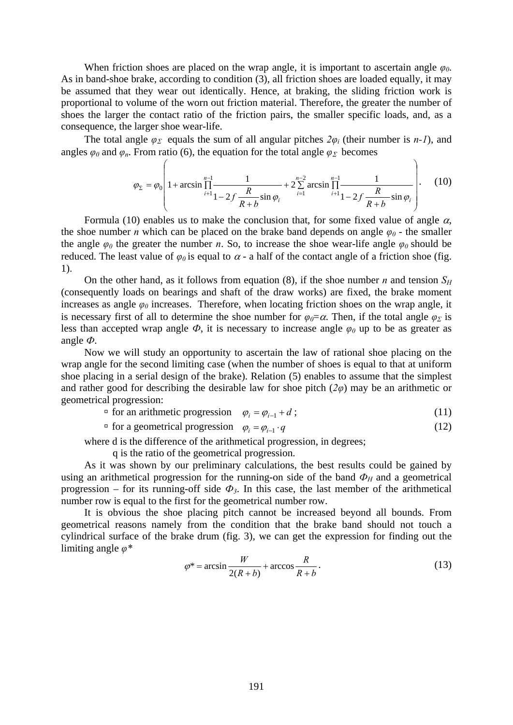When friction shoes are placed on the wrap angle, it is important to ascertain angle *φ0*. As in band-shoe brake, according to condition (3), all friction shoes are loaded equally, it may be assumed that they wear out identically. Hence, at braking, the sliding friction work is proportional to volume of the worn out friction material. Therefore, the greater the number of shoes the larger the contact ratio of the friction pairs, the smaller specific loads, and, as a consequence, the larger shoe wear-life.

The total angle  $\varphi_{\Sigma}$  equals the sum of all angular pitches  $2\varphi_i$  (their number is *n-1*), and angles  $\varphi_0$  and  $\varphi_n$ . From ratio (6), the equation for the total angle  $\varphi_\Sigma$  becomes

$$
\varphi_{\Sigma} = \varphi_0 \left( 1 + \arcsin \prod_{i=1}^{n-1} \frac{1}{1 - 2f \frac{R}{R + b} \sin \varphi_i} + 2 \sum_{i=1}^{n-2} \arcsin \prod_{i=1}^{n-1} \frac{1}{1 - 2f \frac{R}{R + b} \sin \varphi_i} \right). \tag{10}
$$

Formula (10) enables us to make the conclusion that, for some fixed value of angle  $\alpha$ , the shoe number *n* which can be placed on the brake band depends on angle  $\varphi_0$  - the smaller the angle  $\varphi_0$  the greater the number *n*. So, to increase the shoe wear-life angle  $\varphi_0$  should be reduced. The least value of  $\varphi_0$  is equal to  $\alpha$  - a half of the contact angle of a friction shoe (fig. 1).

On the other hand, as it follows from equation (8), if the shoe number *n* and tension  $S_H$ (consequently loads on bearings and shaft of the draw works) are fixed, the brake moment increases as angle  $\varphi_0$  increases. Therefore, when locating friction shoes on the wrap angle, it is necessary first of all to determine the shoe number for  $\varphi_0 = \alpha$ . Then, if the total angle  $\varphi_{\Sigma}$  is less than accepted wrap angle  $\Phi$ , it is necessary to increase angle  $\varphi$ <sup>0</sup> up to be as greater as angle *Ф*.

Now we will study an opportunity to ascertain the law of rational shoe placing on the wrap angle for the second limiting case (when the number of shoes is equal to that at uniform shoe placing in a serial design of the brake). Relation (5) enables to assume that the simplest and rather good for describing the desirable law for shoe pitch  $(2\varphi)$  may be an arithmetic or geometrical progression:

 $\sigma$  for an arithmetic progression  $\varphi_i = \varphi_{i-1} + d$ ; (11)

 $\sigma$  for a geometrical progression  $\varphi_i = \varphi_{i-1} \cdot q$  (12)

where d is the difference of the arithmetical progression, in degrees;

q is the ratio of the geometrical progression.

As it was shown by our preliminary calculations, the best results could be gained by using an arithmetical progression for the running-on side of the band  $\Phi_H$  and a geometrical progression – for its running-off side  $\Phi_3$ . In this case, the last member of the arithmetical number row is equal to the first for the geometrical number row.

It is obvious the shoe placing pitch cannot be increased beyond all bounds. From geometrical reasons namely from the condition that the brake band should not touch a cylindrical surface of the brake drum (fig. 3), we can get the expression for finding out the limiting angle *φ\** 

$$
\varphi^* = \arcsin\frac{W}{2(R+b)} + \arccos\frac{R}{R+b}.
$$
\n(13)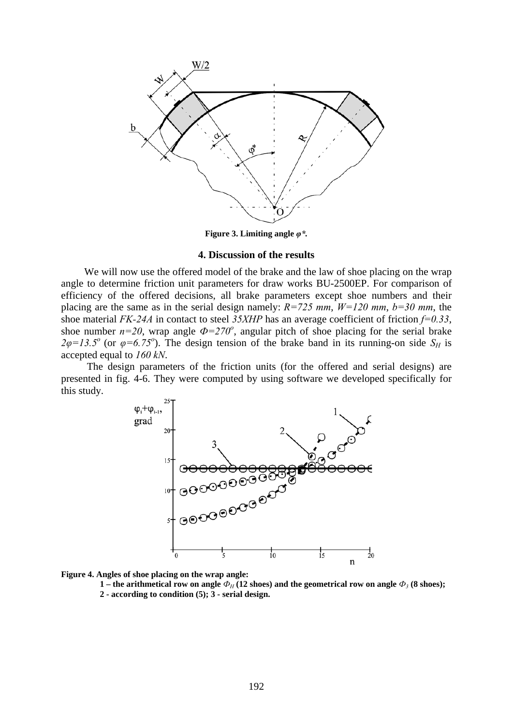

**Figure 3. Limiting angle** *φ\*.*

### **4. Discussion of the results**

We will now use the offered model of the brake and the law of shoe placing on the wrap angle to determine friction unit parameters for draw works BU-2500EP. For comparison of efficiency of the offered decisions, all brake parameters except shoe numbers and their placing are the same as in the serial design namely: *R=725 mm*, *W=120 mm*, *b=30 mm*, the shoe material *FK-24A* in contact to steel *35XHP* has an average coefficient of friction *f=0.33*, shoe number  $n=20$ , wrap angle  $\Phi = 270^\circ$ , angular pitch of shoe placing for the serial brake  $2\varphi = 13.5^\circ$  (or  $\varphi = 6.75^\circ$ ). The design tension of the brake band in its running-on side *S<sub>H</sub>* is accepted equal to *160 kN*.

 The design parameters of the friction units (for the offered and serial designs) are presented in fig. 4-6. They were computed by using software we developed specifically for this study.





**1** – the arithmetical row on angle  $\Phi_H$  (12 shoes) and the geometrical row on angle  $\Phi_3$  (8 shoes); **2 - according to condition (5); 3 - serial design.**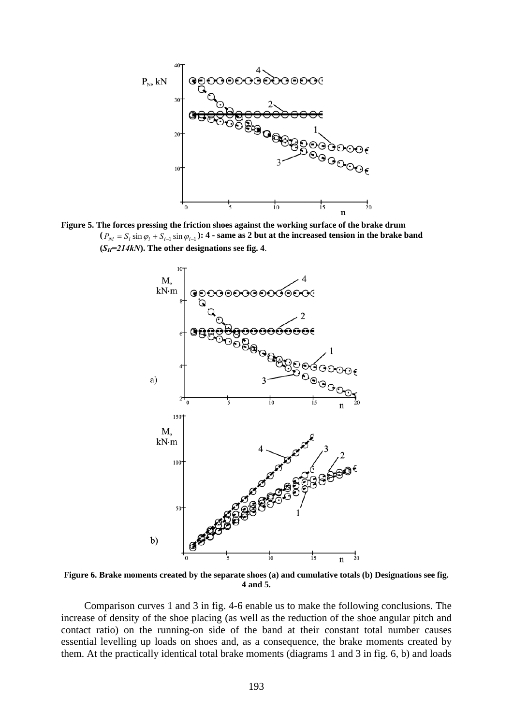

**Figure 5. The forces pressing the friction shoes against the working surface of the brake drum**   $(P_{Ni} = S_i \sin \varphi_i + S_{i-1} \sin \varphi_{i-1})$ : 4 - same as 2 but at the increased tension in the brake band  $(S_H=214kN)$ . The other designations see fig. 4.



**Figure 6. Brake moments created by the separate shoes (a) and cumulative totals (b) Designations see fig. 4 and 5.** 

Comparison curves 1 and 3 in fig. 4-6 enable us to make the following conclusions. The increase of density of the shoe placing (as well as the reduction of the shoe angular pitch and contact ratio) on the running-on side of the band at their constant total number causes essential levelling up loads on shoes and, as a consequence, the brake moments created by them. At the practically identical total brake moments (diagrams 1 and 3 in fig. 6, b) and loads